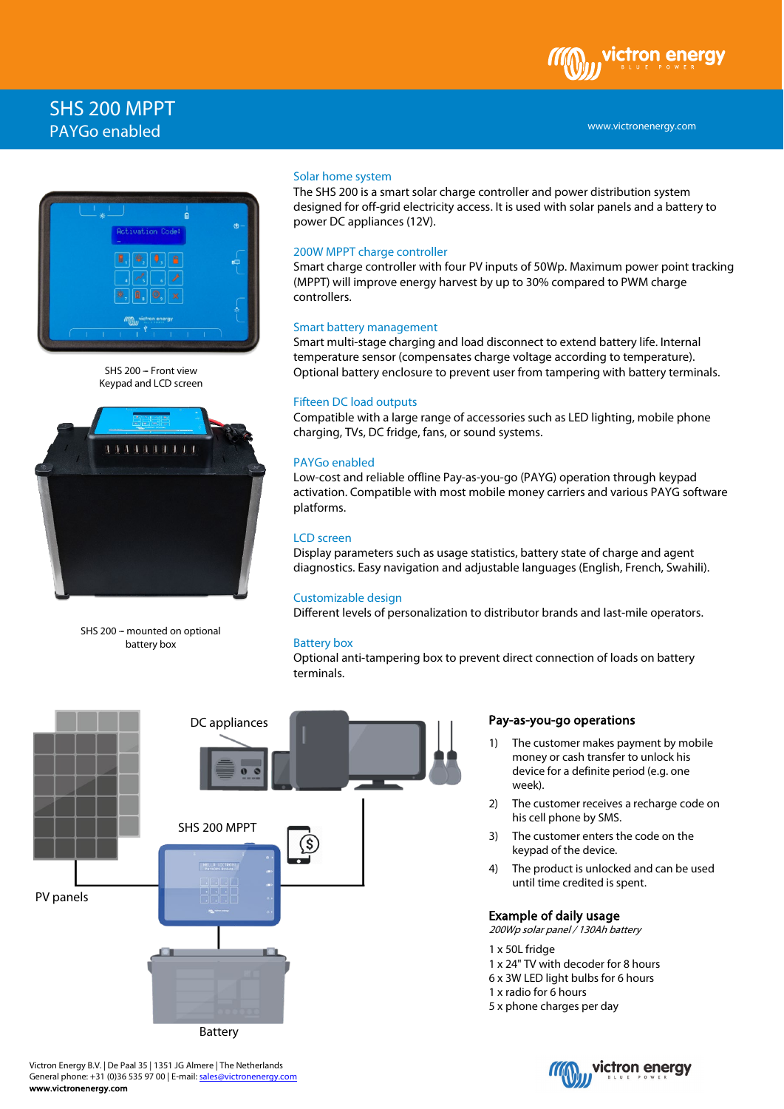# SHS 200 MPPT PAYGo enabled



SHS 200 - Front view Keypad and LCD screen



SHS 200 - mounted on optional battery box

#### Solar home system

The SHS 200 is a smart solar charge controller and power distribution system designed for off-grid electricity access. It is used with solar panels and a battery to power DC appliances (12V).

## 200W MPPT charge controller

Smart charge controller with four PV inputs of 50Wp. Maximum power point tracking (MPPT) will improve energy harvest by up to 30% compared to PWM charge controllers.

#### Smart battery management

Smart multi-stage charging and load disconnect to extend battery life. Internal temperature sensor (compensates charge voltage according to temperature). Optional battery enclosure to prevent user from tampering with battery terminals.

### Fifteen DC load outputs

Compatible with a large range of accessories such as LED lighting, mobile phone charging, TVs, DC fridge, fans, or sound systems.

## PAYGo enabled

Low-cost and reliable offline Pay-as-you-go (PAYG) operation through keypad activation. Compatible with most mobile money carriers and various PAYG software platforms.

#### LCD screen

Display parameters such as usage statistics, battery state of charge and agent diagnostics. Easy navigation and adjustable languages (English, French, Swahili).

### Customizable design

Different levels of personalization to distributor brands and last-mile operators.

## Battery box

Optional anti-tampering box to prevent direct connection of loads on battery terminals.



## Pay-as-you-go operations

- 1) The customer makes payment by mobile money or cash transfer to unlock his device for a definite period (e.g. one week).
- 2) The customer receives a recharge code on his cell phone by SMS.
- 3) The customer enters the code on the keypad of the device.
- 4) The product is unlocked and can be used until time credited is spent.

#### Example of daily usage

200Wp solar panel / 130Ah battery

- 1 x 50L fridge
- 1 x 24" TV with decoder for 8 hours
- 6 x 3W LED light bulbs for 6 hours
- 1 x radio for 6 hours
- 5 x phone charges per day





#### www.victronenergy.com

ctron enerav